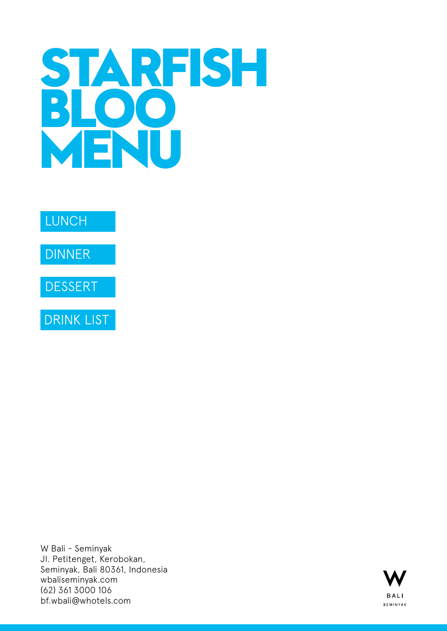# **STARFISH BLOO MENU**



**DRINK LIST** 

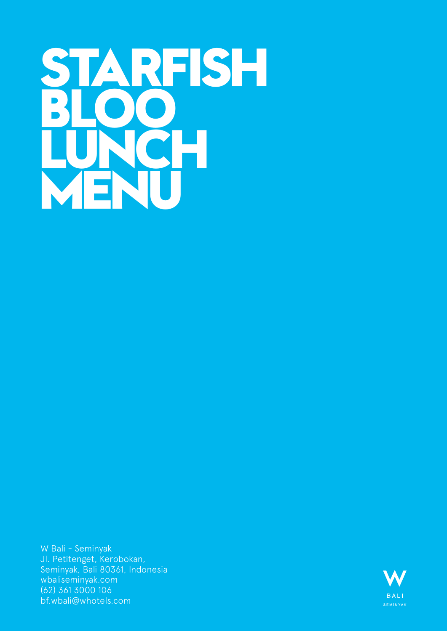# <span id="page-1-0"></span>**STARFISH BLOO LUNCH MENU**

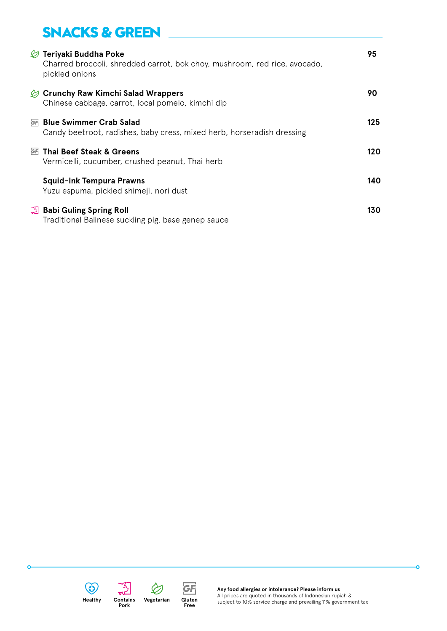### **SNACKS & GREEN**

| $\mathcal{D}$ Teriyaki Buddha Poke<br>Charred broccoli, shredded carrot, bok choy, mushroom, red rice, avocado,<br>pickled onions | 95  |
|-----------------------------------------------------------------------------------------------------------------------------------|-----|
| $\oslash$ Crunchy Raw Kimchi Salad Wrappers<br>Chinese cabbage, carrot, local pomelo, kimchi dip                                  | 90  |
| <u> GF Blue Swimmer Crab Salad</u><br>Candy beetroot, radishes, baby cress, mixed herb, horseradish dressing                      | 125 |
| <u>ோ</u> Thai Beef Steak & Greens<br>Vermicelli, cucumber, crushed peanut, Thai herb                                              | 120 |
| <b>Squid-Ink Tempura Prawns</b><br>Yuzu espuma, pickled shimeji, nori dust                                                        | 140 |
| <b>A</b> Babi Guling Spring Roll<br>Traditional Balinese suckling pig, base genep sauce                                           | 130 |



**C** 







**Any food allergies or intolerance? Please inform us** All prices are quoted in thousands of Indonesian rupiah & subject to 10% service charge and prevailing 11% government tax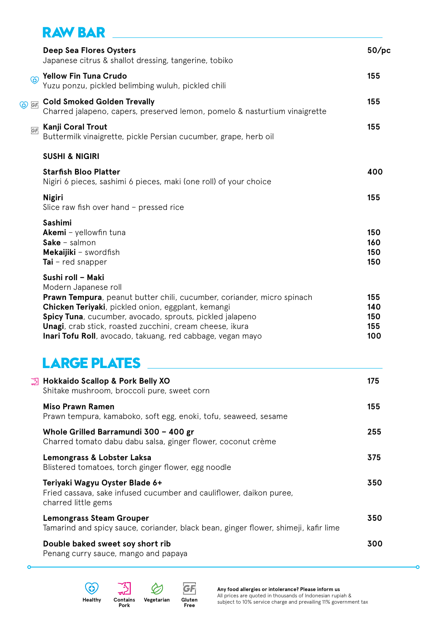### **RAW BAR**

|                | <b>Deep Sea Flores Oysters</b><br>Japanese citrus & shallot dressing, tangerine, tobiko                                                                                                                                                                                                                                                                         | 50/pc                           |
|----------------|-----------------------------------------------------------------------------------------------------------------------------------------------------------------------------------------------------------------------------------------------------------------------------------------------------------------------------------------------------------------|---------------------------------|
| $\circledcirc$ | <b>Yellow Fin Tuna Crudo</b><br>Yuzu ponzu, pickled belimbing wuluh, pickled chili                                                                                                                                                                                                                                                                              | 155                             |
| ⊙ GF           | <b>Cold Smoked Golden Trevally</b><br>Charred jalapeno, capers, preserved lemon, pomelo & nasturtium vinaigrette                                                                                                                                                                                                                                                | 155                             |
| GF             | Kanji Coral Trout<br>Buttermilk vinaigrette, pickle Persian cucumber, grape, herb oil                                                                                                                                                                                                                                                                           | 155                             |
|                | <b>SUSHI &amp; NIGIRI</b>                                                                                                                                                                                                                                                                                                                                       |                                 |
|                | <b>Starfish Bloo Platter</b><br>Nigiri 6 pieces, sashimi 6 pieces, maki (one roll) of your choice                                                                                                                                                                                                                                                               | 400                             |
|                | <b>Nigiri</b><br>Slice raw fish over hand - pressed rice                                                                                                                                                                                                                                                                                                        | 155                             |
|                | Sashimi<br>Akemi - yellowfin tuna<br>$Sake - salmon$<br>Mekaijiki - swordfish<br><b>Tai</b> – red snapper                                                                                                                                                                                                                                                       | 150<br>160<br>150<br>150        |
|                | Sushi roll - Maki<br>Modern Japanese roll<br>Prawn Tempura, peanut butter chili, cucumber, coriander, micro spinach<br>Chicken Teriyaki, pickled onion, eggplant, kemangi<br>Spicy Tuna, cucumber, avocado, sprouts, pickled jalapeno<br>Unagi, crab stick, roasted zucchini, cream cheese, ikura<br>Inari Tofu Roll, avocado, takuang, red cabbage, vegan mayo | 155<br>140<br>150<br>155<br>100 |
|                | <b>LARGE PLATES</b>                                                                                                                                                                                                                                                                                                                                             |                                 |
|                | <b>15 Hokkaido Scallop &amp; Pork Belly XO</b><br>Shitake mushroom, broccoli pure, sweet corn                                                                                                                                                                                                                                                                   | 175                             |
|                | <b>Miso Prawn Ramen</b><br>Prawn tempura, kamaboko, soft egg, enoki, tofu, seaweed, sesame                                                                                                                                                                                                                                                                      | 155                             |
|                | Whole Grilled Barramundi 300 - 400 gr<br>Charred tomato dabu dabu salsa, ginger flower, coconut crème                                                                                                                                                                                                                                                           | 255                             |
|                | Lemongrass & Lobster Laksa<br>Blistered tomatoes, torch ginger flower, egg noodle                                                                                                                                                                                                                                                                               | 375                             |
|                |                                                                                                                                                                                                                                                                                                                                                                 |                                 |

| Teriyaki Wagyu Oyster Blade 6+<br>Fried cassava, sake infused cucumber and cauliflower, daikon puree,<br>charred little gems | 350 |
|------------------------------------------------------------------------------------------------------------------------------|-----|
| <b>Lemongrass Steam Grouper</b><br>Tamarind and spicy sauce, coriander, black bean, ginger flower, shimeji, kafir lime       | 350 |
| Double baked sweet soy short rib                                                                                             | 300 |

Penang curry sauce, mango and papaya



 $\circ$ 



ò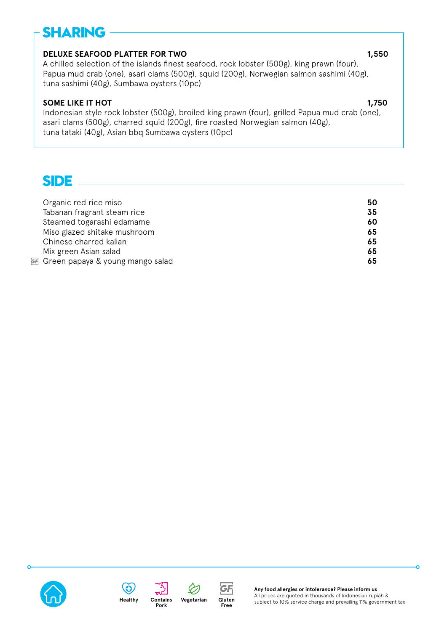## **SHARING**

### **DELUXE SEAFOOD PLATTER FOR TWO 1,550**

A chilled selection of the islands finest seafood, rock lobster (500g), king prawn (four), Papua mud crab (one), asari clams (500g), squid (200g), Norwegian salmon sashimi (40g), tuna sashimi (40g), Sumbawa oysters (10pc)

### **SOME LIKE IT HOT** 1,750

Indonesian style rock lobster (500g), broiled king prawn (four), grilled Papua mud crab (one), asari clams (500g), charred squid (200g), fire roasted Norwegian salmon (40g), tuna tataki (40g), Asian bbq Sumbawa oysters (10pc)

**SIDE**

| Organic red rice miso               | 50 |
|-------------------------------------|----|
| Tabanan fragrant steam rice         | 35 |
| Steamed togarashi edamame           | 60 |
| Miso glazed shitake mushroom        | 65 |
| Chinese charred kalian              | 65 |
| Mix green Asian salad               | 65 |
| GF Green papaya & young mango salad | 65 |









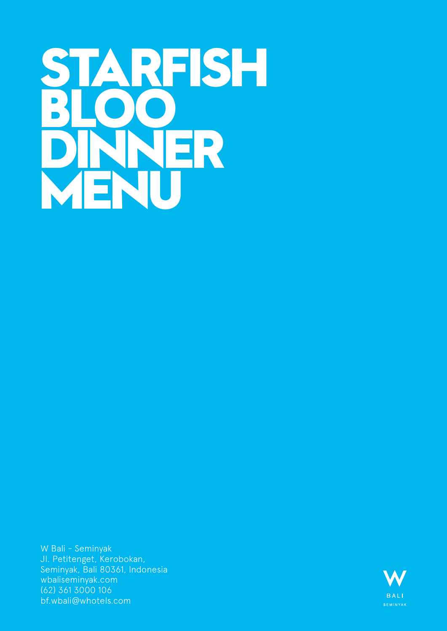# <span id="page-5-0"></span>**STARFISH BLOO DINNER MENU**

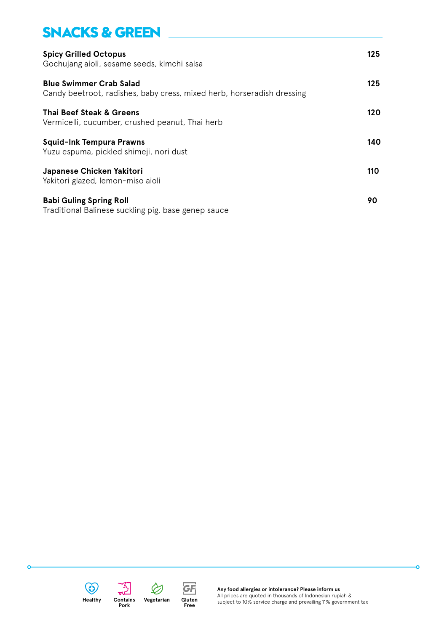### **SNACKS & GREEN**

| <b>Spicy Grilled Octopus</b><br>Gochujang aioli, sesame seeds, kimchi salsa                              | 125 |
|----------------------------------------------------------------------------------------------------------|-----|
| <b>Blue Swimmer Crab Salad</b><br>Candy beetroot, radishes, baby cress, mixed herb, horseradish dressing | 125 |
| Thai Beef Steak & Greens<br>Vermicelli, cucumber, crushed peanut, Thai herb                              | 120 |
| <b>Squid-Ink Tempura Prawns</b><br>Yuzu espuma, pickled shimeji, nori dust                               | 140 |
| Japanese Chicken Yakitori<br>Yakitori glazed, lemon-miso aioli                                           | 110 |
| <b>Babi Guling Spring Roll</b><br>Traditional Balinese suckling pig, base genep sauce                    | 90  |



**C** 



**Gluten Free**

GF



**Any food allergies or intolerance? Please inform us** All prices are quoted in thousands of Indonesian rupiah & subject to 10% service charge and prevailing 11% government tax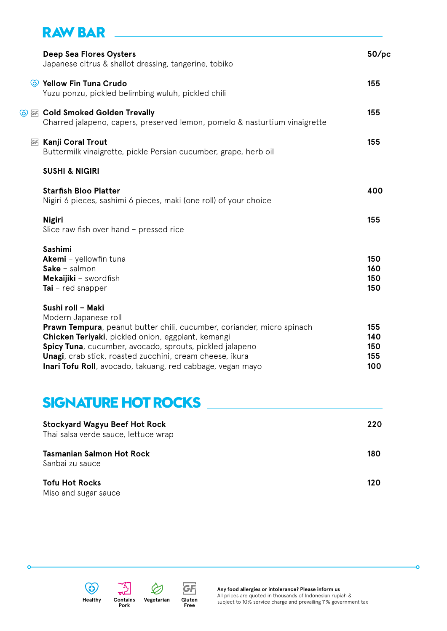### **RAW BAR**

| <b>Deep Sea Flores Oysters</b><br>Japanese citrus & shallot dressing, tangerine, tobiko                                                                                                                                                                                                                                                                         | 50/pc                           |
|-----------------------------------------------------------------------------------------------------------------------------------------------------------------------------------------------------------------------------------------------------------------------------------------------------------------------------------------------------------------|---------------------------------|
| C Yellow Fin Tuna Crudo<br>Yuzu ponzu, pickled belimbing wuluh, pickled chili                                                                                                                                                                                                                                                                                   | 155                             |
| <b>The Cold Smoked Golden Trevally</b><br>Charred jalapeno, capers, preserved lemon, pomelo & nasturtium vinaigrette                                                                                                                                                                                                                                            | 155                             |
| <b>GF</b> Kanji Coral Trout<br>Buttermilk vinaigrette, pickle Persian cucumber, grape, herb oil                                                                                                                                                                                                                                                                 | 155                             |
| <b>SUSHI &amp; NIGIRI</b>                                                                                                                                                                                                                                                                                                                                       |                                 |
| <b>Starfish Bloo Platter</b><br>Nigiri 6 pieces, sashimi 6 pieces, maki (one roll) of your choice                                                                                                                                                                                                                                                               | 400                             |
| <b>Nigiri</b><br>Slice raw fish over hand - pressed rice                                                                                                                                                                                                                                                                                                        | 155                             |
| <b>Sashimi</b><br>Akemi - yellowfin tuna<br><b>Sake</b> – salmon<br>Mekaijiki - swordfish<br>Tai $-$ red snapper                                                                                                                                                                                                                                                | 150<br>160<br>150<br>150        |
| Sushi roll - Maki<br>Modern Japanese roll<br>Prawn Tempura, peanut butter chili, cucumber, coriander, micro spinach<br>Chicken Teriyaki, pickled onion, eggplant, kemangi<br>Spicy Tuna, cucumber, avocado, sprouts, pickled jalapeno<br>Unagi, crab stick, roasted zucchini, cream cheese, ikura<br>Inari Tofu Roll, avocado, takuang, red cabbage, vegan mayo | 155<br>140<br>150<br>155<br>100 |

### **SIGNATURE HOT ROCKS**

| <b>Stockyard Wagyu Beef Hot Rock</b><br>Thai salsa verde sauce, lettuce wrap | 220 |
|------------------------------------------------------------------------------|-----|
| <b>Tasmanian Salmon Hot Rock</b><br>Sanbai zu sauce                          | 180 |
| <b>Tofu Hot Rocks</b><br>Miso and sugar sauce                                | 120 |





**Pork**

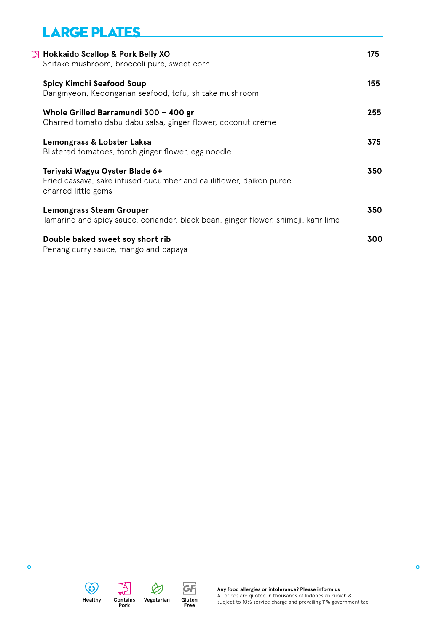### **LARGE PLATES**

| <b>◯ Hokkaido Scallop &amp; Pork Belly XO</b><br>Shitake mushroom, broccoli pure, sweet corn                                 | 175 |
|------------------------------------------------------------------------------------------------------------------------------|-----|
| <b>Spicy Kimchi Seafood Soup</b><br>Dangmyeon, Kedonganan seafood, tofu, shitake mushroom                                    | 155 |
| Whole Grilled Barramundi 300 - 400 gr<br>Charred tomato dabu dabu salsa, ginger flower, coconut crème                        | 255 |
| Lemongrass & Lobster Laksa<br>Blistered tomatoes, torch ginger flower, egg noodle                                            | 375 |
| Teriyaki Wagyu Oyster Blade 6+<br>Fried cassava, sake infused cucumber and cauliflower, daikon puree,<br>charred little gems | 350 |
| <b>Lemongrass Steam Grouper</b><br>Tamarind and spicy sauce, coriander, black bean, ginger flower, shimeji, kafir lime       | 350 |
| Double baked sweet soy short rib<br>Penang curry sauce, mango and papaya                                                     | 300 |





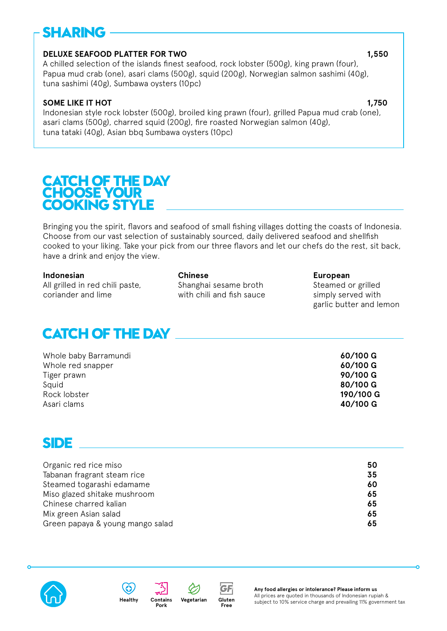## **SHARING**

### **DELUXE SEAFOOD PLATTER FOR TWO 1,550 PLATTER FOR TWO 1,550 PLATTER**

A chilled selection of the islands finest seafood, rock lobster (500g), king prawn (four), Papua mud crab (one), asari clams (500g), squid (200g), Norwegian salmon sashimi (40g), tuna sashimi (40g), Sumbawa oysters (10pc)

### **SOME LIKE IT HOT** 1,750

Indonesian style rock lobster (500g), broiled king prawn (four), grilled Papua mud crab (one), asari clams (500g), charred squid (200g), fire roasted Norwegian salmon (40g), tuna tataki (40g), Asian bbq Sumbawa oysters (10pc)

### **CATCH OF THE DAY CHOOSE YOUR COOKING STYLE**

Bringing you the spirit, flavors and seafood of small fishing villages dotting the coasts of Indonesia. Choose from our vast selection of sustainably sourced, daily delivered seafood and shellfish cooked to your liking. Take your pick from our three flavors and let our chefs do the rest, sit back, have a drink and enjoy the view.

All grilled in red chili paste, Shanghai sesame broth Steamed or grilled coriander and lime with chili and fish sauce simply served with

**Indonesian Chinese European**

garlic butter and lemon

### **CATCH OF THE DAY**

| 80/100 G<br>Squid<br>190/100 G<br>Rock lobster<br>40/100 G<br>Asari clams | Whole baby Barramundi<br>Whole red snapper<br>Tiger prawn | $60/100$ G<br>60/100 G<br>90/100 G |
|---------------------------------------------------------------------------|-----------------------------------------------------------|------------------------------------|
|---------------------------------------------------------------------------|-----------------------------------------------------------|------------------------------------|

### **SIDE**

| Organic red rice miso            | 50 |
|----------------------------------|----|
| Tabanan fragrant steam rice      | 35 |
| Steamed togarashi edamame        | 60 |
| Miso glazed shitake mushroom     | 65 |
| Chinese charred kalian           | 65 |
| Mix green Asian salad            | 65 |
| Green papaya & young mango salad | 65 |
|                                  |    |







**Gluten Free**

GF

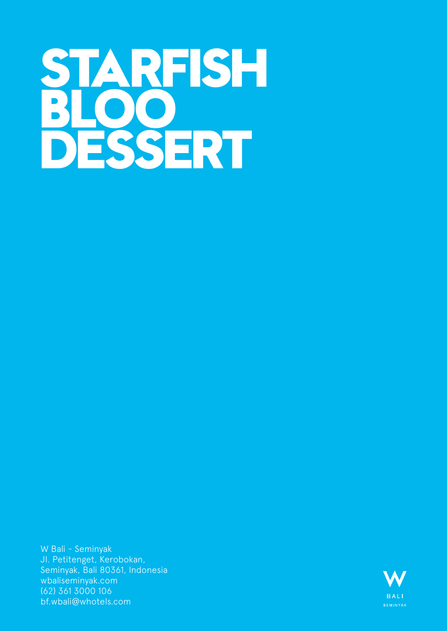# <span id="page-10-0"></span>**STARFISH BLOO DESSERT**

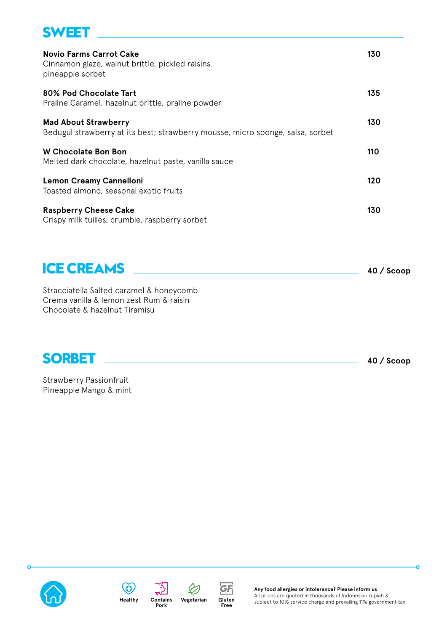### **SWEET**

| <b>Novio Farms Carrot Cake</b><br>Cinnamon glaze, walnut brittle, pickled raisins,<br>pineapple sorbet        | 130 |
|---------------------------------------------------------------------------------------------------------------|-----|
| 80% Pod Chocolate Tart<br>Praline Caramel, hazelnut brittle, praline powder                                   | 135 |
| <b>Mad About Strawberry</b><br>Bedugul strawberry at its best; strawberry mousse, micro sponge, salsa, sorbet | 130 |
| <b>W Chocolate Bon Bon</b><br>Melted dark chocolate, hazelnut paste, vanilla sauce                            | 110 |
| <b>Lemon Creamy Cannelloni</b><br>Toasted almond, seasonal exotic fruits                                      | 120 |
| <b>Raspberry Cheese Cake</b><br>Crispy milk tuilles, crumble, raspberry sorbet                                | 130 |

| <b>ICE CREAMS</b>                        | $40 /$ Scoop |
|------------------------------------------|--------------|
| Stracciatella Salted caramel & honeycomb |              |

Stracciatella Salted caramel & honeycomb Crema vanilla & lemon zest Rum & raisin Chocolate & hazelnut Tiramisu



Δ

Strawberry Passionfruit Pineapple Mango & mint









 $\varphi$ 

**Any food allergies or intolerance? Please inform us** All prices are quoted in thousands of Indonesian rupiah & subject to 10% service charge and prevailing 11% government tax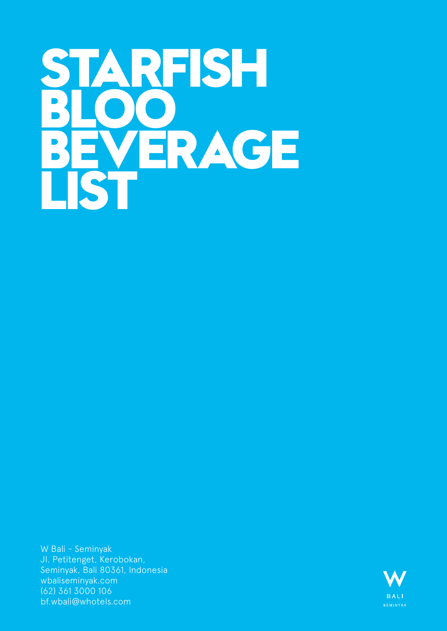# **STARFISH BLOO BEVERAGE LIST**

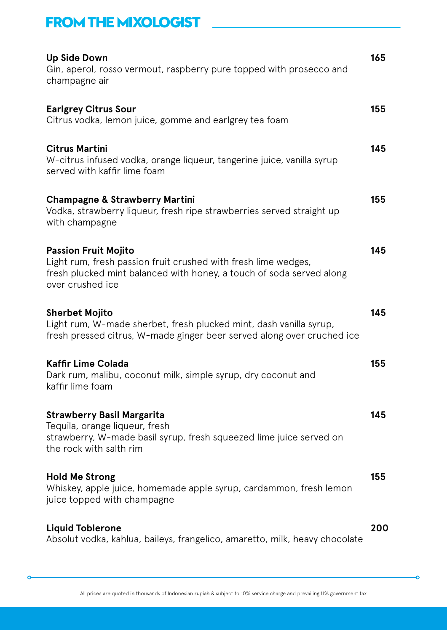### **FROM THE MIXOLOGIST**

| <b>Up Side Down</b><br>Gin, aperol, rosso vermout, raspberry pure topped with prosecco and<br>champagne air                                                                               | 165 |
|-------------------------------------------------------------------------------------------------------------------------------------------------------------------------------------------|-----|
| <b>Earlgrey Citrus Sour</b><br>Citrus vodka, lemon juice, gomme and earlgrey tea foam                                                                                                     | 155 |
| <b>Citrus Martini</b><br>W-citrus infused vodka, orange liqueur, tangerine juice, vanilla syrup<br>served with kaffir lime foam                                                           | 145 |
| <b>Champagne &amp; Strawberry Martini</b><br>Vodka, strawberry liqueur, fresh ripe strawberries served straight up<br>with champagne                                                      | 155 |
| <b>Passion Fruit Mojito</b><br>Light rum, fresh passion fruit crushed with fresh lime wedges,<br>fresh plucked mint balanced with honey, a touch of soda served along<br>over crushed ice | 145 |
| <b>Sherbet Mojito</b><br>Light rum, W-made sherbet, fresh plucked mint, dash vanilla syrup,<br>fresh pressed citrus, W-made ginger beer served along over cruched ice                     | 145 |
| <b>Kaffir Lime Colada</b><br>Dark rum, malibu, coconut milk, simple syrup, dry coconut and<br>kaffir lime foam                                                                            | 155 |
| <b>Strawberry Basil Margarita</b><br>Tequila, orange liqueur, fresh<br>strawberry, W-made basil syrup, fresh squeezed lime juice served on<br>the rock with salth rim                     | 145 |
| <b>Hold Me Strong</b><br>Whiskey, apple juice, homemade apple syrup, cardammon, fresh lemon<br>juice topped with champagne                                                                | 155 |
| <b>Liquid Toblerone</b><br>Absolut vodka, kahlua, baileys, frangelico, amaretto, milk, heavy chocolate                                                                                    | 200 |

 $\circ$ 

ö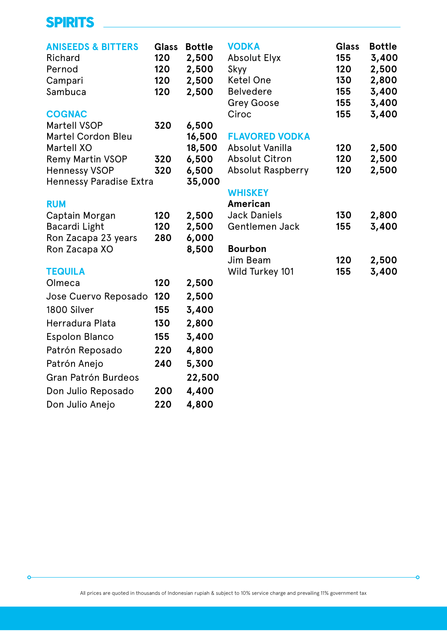### **SPIRITS**

 $\epsilon$ 

| <b>ANISEEDS &amp; BITTERS</b><br>Richard<br>Pernod<br>Campari<br>Sambuca | <b>Glass</b><br>120<br>120<br>120<br>120 | <b>Bottle</b><br>2,500<br>2,500<br>2,500<br>2,500 | <b>VODKA</b><br><b>Absolut Elyx</b><br>Skyy<br><b>Ketel One</b><br><b>Belvedere</b><br><b>Grey Goose</b> | <b>Glass</b><br>155<br>120<br>130<br>155<br>155 | <b>Bottle</b><br>3,400<br>2,500<br>2,800<br>3,400<br>3,400 |
|--------------------------------------------------------------------------|------------------------------------------|---------------------------------------------------|----------------------------------------------------------------------------------------------------------|-------------------------------------------------|------------------------------------------------------------|
| <b>COGNAC</b>                                                            |                                          |                                                   | Ciroc                                                                                                    | 155                                             | 3,400                                                      |
| <b>Martell VSOP</b>                                                      | 320                                      | 6,500                                             |                                                                                                          |                                                 |                                                            |
| <b>Martel Cordon Bleu</b><br><b>Martell XO</b>                           |                                          | 16,500<br>18,500                                  | <b>FLAVORED VODKA</b><br>Absolut Vanilla                                                                 | 120                                             | 2,500                                                      |
| <b>Remy Martin VSOP</b>                                                  | 320                                      | 6,500                                             | <b>Absolut Citron</b>                                                                                    | 120                                             | 2,500                                                      |
| <b>Hennessy VSOP</b>                                                     | 320                                      | 6,500                                             | <b>Absolut Raspberry</b>                                                                                 | 120                                             | 2,500                                                      |
| <b>Hennessy Paradise Extra</b>                                           |                                          | 35,000                                            |                                                                                                          |                                                 |                                                            |
|                                                                          |                                          |                                                   | <b>WHISKEY</b>                                                                                           |                                                 |                                                            |
| <b>RUM</b>                                                               |                                          |                                                   | <b>American</b>                                                                                          |                                                 |                                                            |
| Captain Morgan                                                           | 120                                      | 2,500                                             | <b>Jack Daniels</b>                                                                                      | 130                                             | 2,800                                                      |
| Bacardi Light                                                            | 120                                      | 2,500                                             | Gentlemen Jack                                                                                           | 155                                             | 3,400                                                      |
| Ron Zacapa 23 years                                                      | 280                                      | 6,000                                             |                                                                                                          |                                                 |                                                            |
| Ron Zacapa XO                                                            |                                          | 8,500                                             | <b>Bourbon</b><br>Jim Beam                                                                               | 120                                             | 2,500                                                      |
| <b>TEQUILA</b>                                                           |                                          |                                                   | Wild Turkey 101                                                                                          | 155                                             | 3,400                                                      |
| Olmeca                                                                   | 120                                      | 2,500                                             |                                                                                                          |                                                 |                                                            |
| Jose Cuervo Reposado                                                     | 120                                      | 2,500                                             |                                                                                                          |                                                 |                                                            |
| 1800 Silver                                                              | 155                                      | 3,400                                             |                                                                                                          |                                                 |                                                            |
| Herradura Plata                                                          | 130                                      | 2,800                                             |                                                                                                          |                                                 |                                                            |
| <b>Espolon Blanco</b>                                                    | 155                                      | 3,400                                             |                                                                                                          |                                                 |                                                            |
| Patrón Reposado                                                          | 220                                      | 4,800                                             |                                                                                                          |                                                 |                                                            |
| Patrón Anejo                                                             | 240                                      | 5,300                                             |                                                                                                          |                                                 |                                                            |
| Gran Patrón Burdeos                                                      |                                          | 22,500                                            |                                                                                                          |                                                 |                                                            |
| Don Julio Reposado                                                       | 200                                      | 4,400                                             |                                                                                                          |                                                 |                                                            |
| Don Julio Anejo                                                          | 220                                      | 4,800                                             |                                                                                                          |                                                 |                                                            |

ò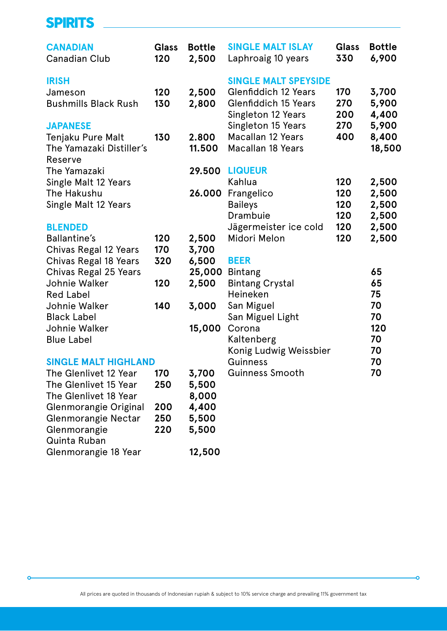### **SPIRITS**

 $\mathbf c$ 

| <b>CANADIAN</b><br><b>Canadian Club</b>                                   | <b>Glass</b><br>120 | <b>Bottle</b><br>2,500 | <b>SINGLE MALT ISLAY</b><br>Laphroaig 10 years                                                                  | <b>Glass</b><br>330 | <b>Bottle</b><br>6,900   |
|---------------------------------------------------------------------------|---------------------|------------------------|-----------------------------------------------------------------------------------------------------------------|---------------------|--------------------------|
| <b>IRISH</b><br>Jameson<br><b>Bushmills Black Rush</b><br><b>JAPANESE</b> | 120<br>130          | 2,500<br>2,800         | <b>SINGLE MALT SPEYSIDE</b><br><b>Glenfiddich 12 Years</b><br><b>Glenfiddich 15 Years</b><br>Singleton 12 Years | 170<br>270<br>200   | 3,700<br>5,900<br>4,400  |
| Tenjaku Pure Malt<br>The Yamazaki Distiller's<br>Reserve                  | 130                 | 2.800<br>11.500        | Singleton 15 Years<br><b>Macallan 12 Years</b><br><b>Macallan 18 Years</b>                                      | 270<br>400          | 5,900<br>8,400<br>18,500 |
| The Yamazaki                                                              |                     | 29.500                 | <b>LIQUEUR</b>                                                                                                  |                     |                          |
| Single Malt 12 Years<br>The Hakushu                                       |                     | 26.000                 | Kahlua                                                                                                          | 120<br>120          | 2,500                    |
| Single Malt 12 Years                                                      |                     |                        | Frangelico<br><b>Baileys</b>                                                                                    | 120                 | 2,500<br>2,500           |
|                                                                           |                     |                        | Drambuie                                                                                                        | 120                 | 2,500                    |
| <b>BLENDED</b>                                                            |                     |                        | Jägermeister ice cold                                                                                           | 120                 | 2,500                    |
| <b>Ballantine's</b>                                                       | 120                 | 2,500                  | Midori Melon                                                                                                    | 120                 | 2,500                    |
| Chivas Regal 12 Years                                                     | 170                 | 3,700                  |                                                                                                                 |                     |                          |
| Chivas Regal 18 Years<br>Chivas Regal 25 Years                            | 320                 | 6,500<br>25,000        | <b>BEER</b><br><b>Bintang</b>                                                                                   |                     | 65                       |
| Johnie Walker                                                             | 120                 | 2,500                  | <b>Bintang Crystal</b>                                                                                          |                     | 65                       |
| <b>Red Label</b>                                                          |                     |                        | Heineken                                                                                                        |                     | 75                       |
| Johnie Walker                                                             | 140                 | 3,000                  | San Miguel                                                                                                      |                     | 70                       |
| <b>Black Label</b>                                                        |                     |                        | San Miguel Light                                                                                                |                     | 70                       |
| Johnie Walker                                                             |                     | 15,000                 | Corona                                                                                                          |                     | 120                      |
| <b>Blue Label</b>                                                         |                     |                        | Kaltenberg                                                                                                      |                     | 70                       |
|                                                                           |                     |                        | Konig Ludwig Weissbier                                                                                          |                     | 70                       |
| <b>SINGLE MALT HIGHLAND</b>                                               |                     |                        | Guinness                                                                                                        |                     | 70                       |
| The Glenlivet 12 Year                                                     | 170                 | 3,700                  | Guinness Smooth                                                                                                 |                     | 70                       |
| The Glenlivet 15 Year                                                     | 250                 | 5,500                  |                                                                                                                 |                     |                          |
| The Glenlivet 18 Year                                                     | 200                 | 8,000<br>4,400         |                                                                                                                 |                     |                          |
| Glenmorangie Original<br>Glenmorangie Nectar                              | 250                 | 5,500                  |                                                                                                                 |                     |                          |
| Glenmorangie                                                              | 220                 | 5,500                  |                                                                                                                 |                     |                          |
| Quinta Ruban                                                              |                     |                        |                                                                                                                 |                     |                          |
| Glenmorangie 18 Year                                                      |                     | 12,500                 |                                                                                                                 |                     |                          |

-o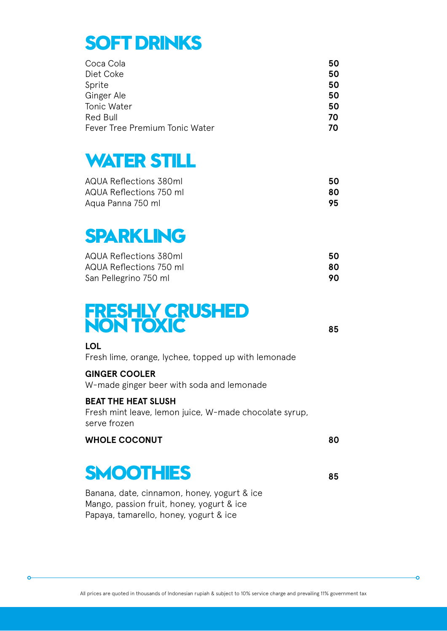# **SOFT DRINKS**

| Coca Cola                      | 50 |
|--------------------------------|----|
| Diet Coke                      | 50 |
| Sprite                         | 50 |
| Ginger Ale                     | 50 |
| Tonic Water                    | 50 |
| Red Bull                       | 70 |
| Fever Tree Premium Tonic Water | 70 |

# **WATER STILL**

| AQUA Reflections 380ml  | 50 |
|-------------------------|----|
| AQUA Reflections 750 ml | 80 |
| Aqua Panna 750 ml       | 95 |

# **SPARKLING**

| AQUA Reflections 380ml  | 50  |
|-------------------------|-----|
| AQUA Reflections 750 ml | 80  |
| San Pellegrino 750 ml   | 90. |

## **FRESHLY CRUSHED NON TOXIC <sup>85</sup>**

ò

**LOL**

Fresh lime, orange, lychee, topped up with lemonade

### **GINGER COOLER**

W-made ginger beer with soda and lemonade

### **BEAT THE HEAT SLUSH**

Fresh mint leave, lemon juice, W-made chocolate syrup, serve frozen

### WHOLE COCONUT 80

# **SMOOTHIES <sup>85</sup>**

Banana, date, cinnamon, honey, yogurt & ice Mango, passion fruit, honey, yogurt & ice Papaya, tamarello, honey, yogurt & ice

All prices are quoted in thousands of Indonesian rupiah & subject to 10% service charge and prevailing 11% government tax